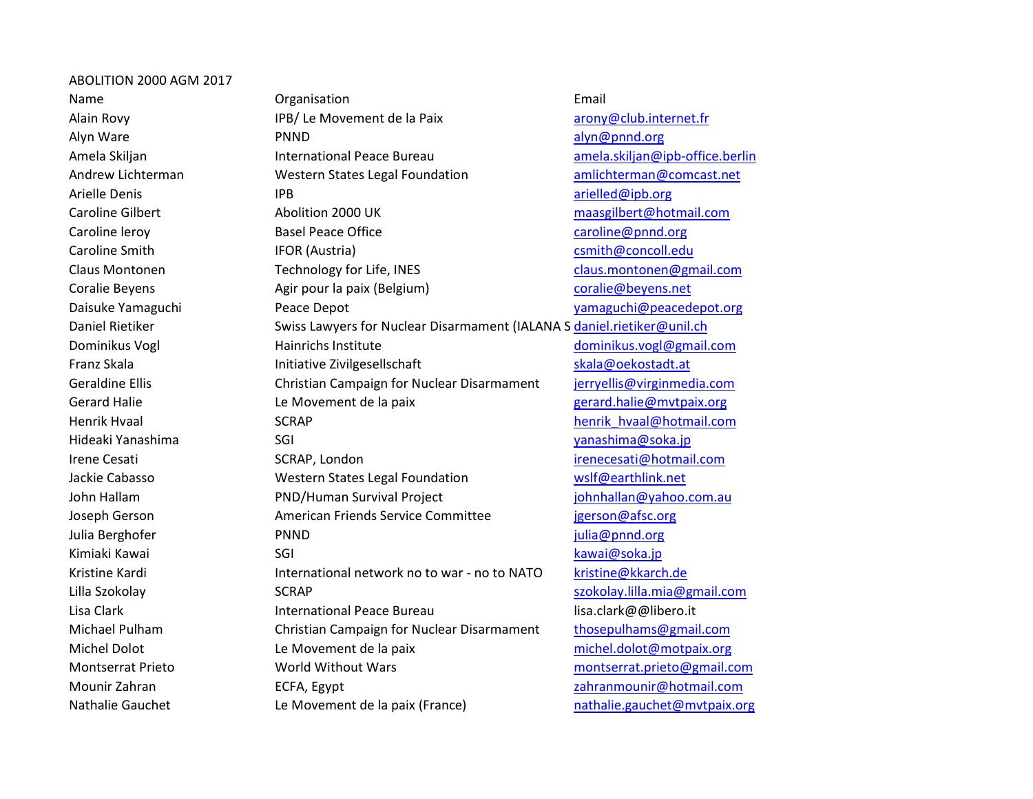## ABOLITION 2000 AGM 2017

Nathalie Gauchet Le Movement de la paix (France) nathalie.gauchet@mvtpaix.org

Name **Communists** Creanisation **Communists** Communist Email Alain Rovy **IPB/ Le Movement de la Paix** arony@club.internet.fr Alyn Ware PNND alyn@pnnd.org Amela Skiljan **International Peace Bureau** amela.skiljan@ipb-office.berlin Andrew Lichterman **Western States Legal Foundation** amlichterman@comcast.net Arielle Denis **Arielle Denis** IPB **arielled@ipb.org** arielled@ipb.org Caroline Gilbert Abolition 2000 UK maasgilbert@hotmail.com Caroline leroy **Basel Peace Office** Caroline Caroline @pnnd.org caroline@pnnd.org Caroline Smith **IFOR (Austria)** Caroline Smith@concoll.edu Claus Montonen Technology for Life, INES claus.montonen@gmail.com Coralie Beyens **Agir pour la paix (Belgium)** coralie@beyens.net Daisuke Yamaguchi Peace Depot yamaguchi@peacedepot.org Daniel Rietiker Swiss Lawyers for Nuclear Disarmament (IALANA S daniel.rietiker@unil.ch Dominikus Vogl **Mathem Hainrichs Institute** dominikus.vogl@gmail.com Franz Skala **Initiative Zivilgesellschaft** Skala@oekostadt.at Geraldine Ellis **Christian Campaign for Nuclear Disarmament** *jerryellis@virginmedia.com* Gerard Halie **Le Movement de la paix** and the series of the series of the series of the Serard.halie@mvtpaix.org Henrik Hvaal North SCRAP henrik Hvaal@hotmail.com Hideaki Yanashima SGI yanashima@soka.jp Irene Cesati SCRAP, London irenecesati@hotmail.com Jackie Cabasso Western States Legal Foundation wslf@earthlink.net John Hallam **PND/Human Survival Project** in the loop of the loop of the loop of the PND/Human Survival Project Joseph Gerson **American Friends Service Committee** igerson@afsc.org Julia Berghofer PNND julia@pnnd.org Kimiaki Kawai **Kawai SGI kawai Kawai@soka.jp** kawai@soka.jp Kristine Kardi **International network no to war - no to NATO** kristine@kkarch.de Lilla Szokolay **SCRAP** szokolay.lilla.mia@gmail.com Lisa Clark **International Peace Bureau lisa.clark@@libero.it** Clark Clark@@libero.it Michael Pulham Christian Campaign for Nuclear Disarmament thosepulhams@gmail.com Michel Dolot Le Movement de la paix michel.dolot@motpaix.org Montserrat Prieto World Without Wars montserrat.prieto@gmail.com Mounir Zahran ECFA, Egypt zahranmounir@hotmail.com